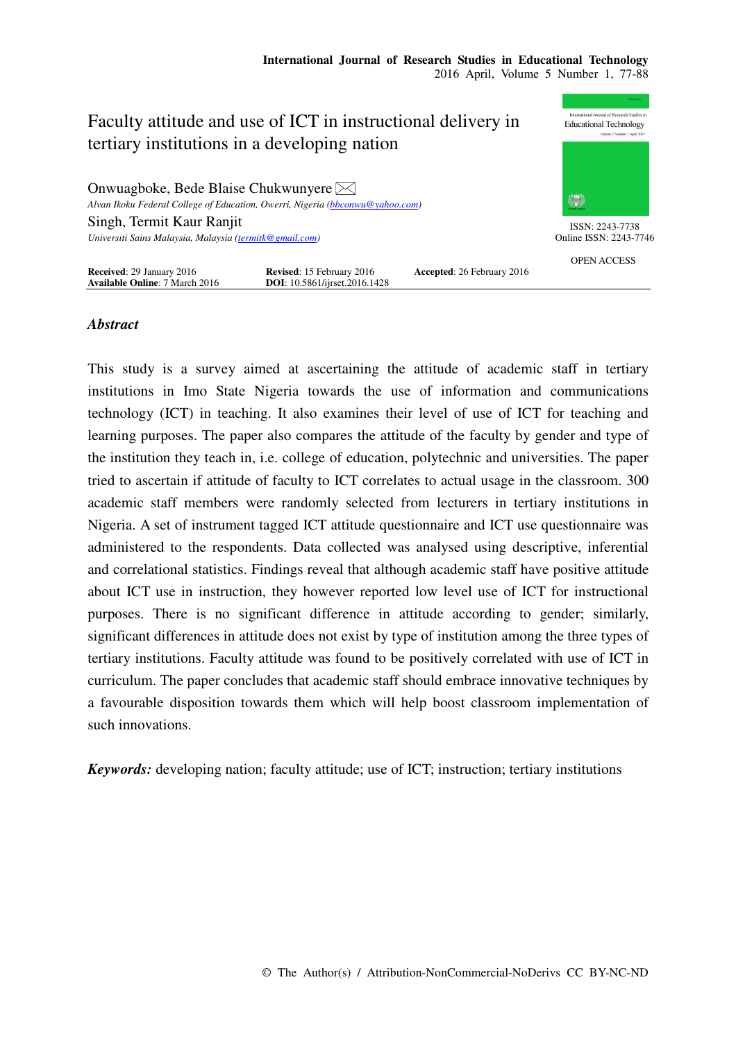

# *Abstract*

This study is a survey aimed at ascertaining the attitude of academic staff in tertiary institutions in Imo State Nigeria towards the use of information and communications technology (ICT) in teaching. It also examines their level of use of ICT for teaching and learning purposes. The paper also compares the attitude of the faculty by gender and type of the institution they teach in, i.e. college of education, polytechnic and universities. The paper tried to ascertain if attitude of faculty to ICT correlates to actual usage in the classroom. 300 academic staff members were randomly selected from lecturers in tertiary institutions in Nigeria. A set of instrument tagged ICT attitude questionnaire and ICT use questionnaire was administered to the respondents. Data collected was analysed using descriptive, inferential and correlational statistics. Findings reveal that although academic staff have positive attitude about ICT use in instruction, they however reported low level use of ICT for instructional purposes. There is no significant difference in attitude according to gender; similarly, significant differences in attitude does not exist by type of institution among the three types of tertiary institutions. Faculty attitude was found to be positively correlated with use of ICT in curriculum. The paper concludes that academic staff should embrace innovative techniques by a favourable disposition towards them which will help boost classroom implementation of such innovations.

*Keywords:* developing nation; faculty attitude; use of ICT; instruction; tertiary institutions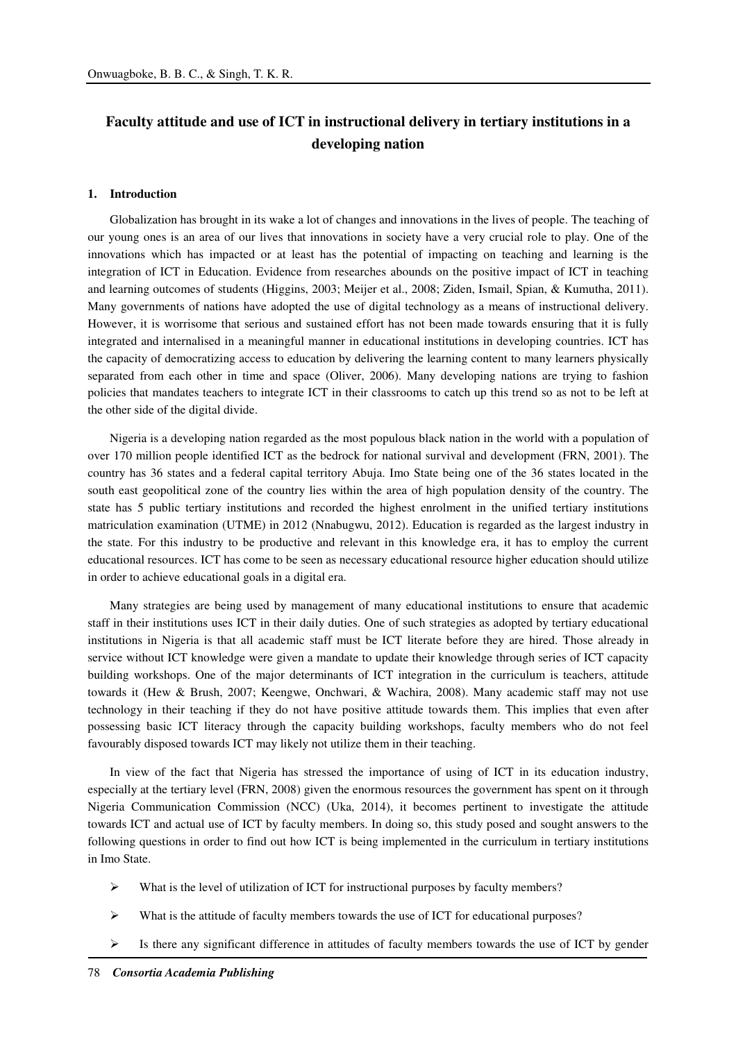# **Faculty attitude and use of ICT in instructional delivery in tertiary institutions in a developing nation**

### **1. Introduction**

Globalization has brought in its wake a lot of changes and innovations in the lives of people. The teaching of our young ones is an area of our lives that innovations in society have a very crucial role to play. One of the innovations which has impacted or at least has the potential of impacting on teaching and learning is the integration of ICT in Education. Evidence from researches abounds on the positive impact of ICT in teaching and learning outcomes of students (Higgins, 2003; Meijer et al., 2008; Ziden, Ismail, Spian, & Kumutha, 2011). Many governments of nations have adopted the use of digital technology as a means of instructional delivery. However, it is worrisome that serious and sustained effort has not been made towards ensuring that it is fully integrated and internalised in a meaningful manner in educational institutions in developing countries. ICT has the capacity of democratizing access to education by delivering the learning content to many learners physically separated from each other in time and space (Oliver, 2006). Many developing nations are trying to fashion policies that mandates teachers to integrate ICT in their classrooms to catch up this trend so as not to be left at the other side of the digital divide.

Nigeria is a developing nation regarded as the most populous black nation in the world with a population of over 170 million people identified ICT as the bedrock for national survival and development (FRN, 2001). The country has 36 states and a federal capital territory Abuja. Imo State being one of the 36 states located in the south east geopolitical zone of the country lies within the area of high population density of the country. The state has 5 public tertiary institutions and recorded the highest enrolment in the unified tertiary institutions matriculation examination (UTME) in 2012 (Nnabugwu, 2012). Education is regarded as the largest industry in the state. For this industry to be productive and relevant in this knowledge era, it has to employ the current educational resources. ICT has come to be seen as necessary educational resource higher education should utilize in order to achieve educational goals in a digital era.

Many strategies are being used by management of many educational institutions to ensure that academic staff in their institutions uses ICT in their daily duties. One of such strategies as adopted by tertiary educational institutions in Nigeria is that all academic staff must be ICT literate before they are hired. Those already in service without ICT knowledge were given a mandate to update their knowledge through series of ICT capacity building workshops. One of the major determinants of ICT integration in the curriculum is teachers, attitude towards it (Hew & Brush, 2007; Keengwe, Onchwari, & Wachira, 2008). Many academic staff may not use technology in their teaching if they do not have positive attitude towards them. This implies that even after possessing basic ICT literacy through the capacity building workshops, faculty members who do not feel favourably disposed towards ICT may likely not utilize them in their teaching.

In view of the fact that Nigeria has stressed the importance of using of ICT in its education industry, especially at the tertiary level (FRN, 2008) given the enormous resources the government has spent on it through Nigeria Communication Commission (NCC) (Uka, 2014), it becomes pertinent to investigate the attitude towards ICT and actual use of ICT by faculty members. In doing so, this study posed and sought answers to the following questions in order to find out how ICT is being implemented in the curriculum in tertiary institutions in Imo State.

- $\triangleright$  What is the level of utilization of ICT for instructional purposes by faculty members?
- $\triangleright$  What is the attitude of faculty members towards the use of ICT for educational purposes?
- $\triangleright$  Is there any significant difference in attitudes of faculty members towards the use of ICT by gender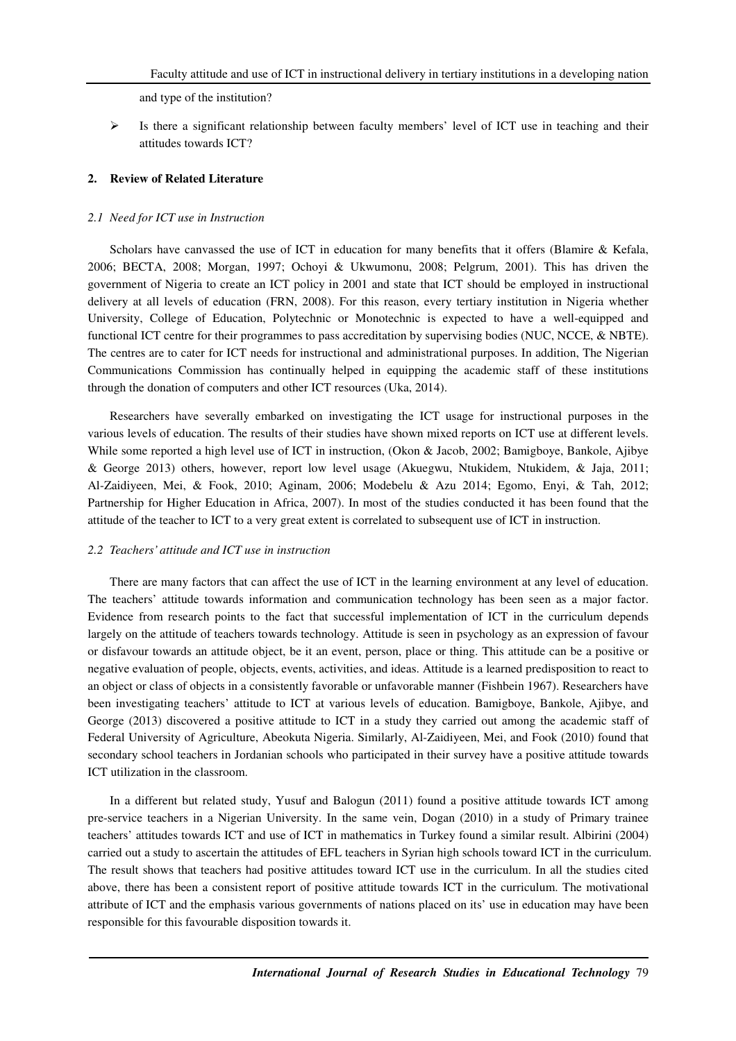and type of the institution?

 $\triangleright$  Is there a significant relationship between faculty members' level of ICT use in teaching and their attitudes towards ICT?

## **2. Review of Related Literature**

#### *2.1 Need for ICT use in Instruction*

Scholars have canvassed the use of ICT in education for many benefits that it offers (Blamire & Kefala, 2006; BECTA, 2008; Morgan, 1997; Ochoyi & Ukwumonu, 2008; Pelgrum, 2001). This has driven the government of Nigeria to create an ICT policy in 2001 and state that ICT should be employed in instructional delivery at all levels of education (FRN, 2008). For this reason, every tertiary institution in Nigeria whether University, College of Education, Polytechnic or Monotechnic is expected to have a well-equipped and functional ICT centre for their programmes to pass accreditation by supervising bodies (NUC, NCCE, & NBTE). The centres are to cater for ICT needs for instructional and administrational purposes. In addition, The Nigerian Communications Commission has continually helped in equipping the academic staff of these institutions through the donation of computers and other ICT resources (Uka, 2014).

Researchers have severally embarked on investigating the ICT usage for instructional purposes in the various levels of education. The results of their studies have shown mixed reports on ICT use at different levels. While some reported a high level use of ICT in instruction, (Okon & Jacob, 2002; Bamigboye, Bankole, Ajibye & George 2013) others, however, report low level usage (Akuegwu, Ntukidem, Ntukidem, & Jaja, 2011; Al-Zaidiyeen, Mei, & Fook, 2010; Aginam, 2006; Modebelu & Azu 2014; Egomo, Enyi, & Tah, 2012; Partnership for Higher Education in Africa, 2007). In most of the studies conducted it has been found that the attitude of the teacher to ICT to a very great extent is correlated to subsequent use of ICT in instruction.

## *2.2 Teachers' attitude and ICT use in instruction*

There are many factors that can affect the use of ICT in the learning environment at any level of education. The teachers' attitude towards information and communication technology has been seen as a major factor. Evidence from research points to the fact that successful implementation of ICT in the curriculum depends largely on the attitude of teachers towards technology. Attitude is seen in psychology as an expression of favour or disfavour towards an attitude object, be it an event, person, place or thing. This attitude can be a positive or negative evaluation of people, objects, events, activities, and ideas. Attitude is a learned predisposition to react to an object or class of objects in a consistently favorable or unfavorable manner (Fishbein 1967). Researchers have been investigating teachers' attitude to ICT at various levels of education. Bamigboye, Bankole, Ajibye, and George (2013) discovered a positive attitude to ICT in a study they carried out among the academic staff of Federal University of Agriculture, Abeokuta Nigeria. Similarly, Al-Zaidiyeen, Mei, and Fook (2010) found that secondary school teachers in Jordanian schools who participated in their survey have a positive attitude towards ICT utilization in the classroom.

In a different but related study, Yusuf and Balogun (2011) found a positive attitude towards ICT among pre-service teachers in a Nigerian University. In the same vein, Dogan (2010) in a study of Primary trainee teachers' attitudes towards ICT and use of ICT in mathematics in Turkey found a similar result. Albirini (2004) carried out a study to ascertain the attitudes of EFL teachers in Syrian high schools toward ICT in the curriculum. The result shows that teachers had positive attitudes toward ICT use in the curriculum. In all the studies cited above, there has been a consistent report of positive attitude towards ICT in the curriculum. The motivational attribute of ICT and the emphasis various governments of nations placed on its' use in education may have been responsible for this favourable disposition towards it.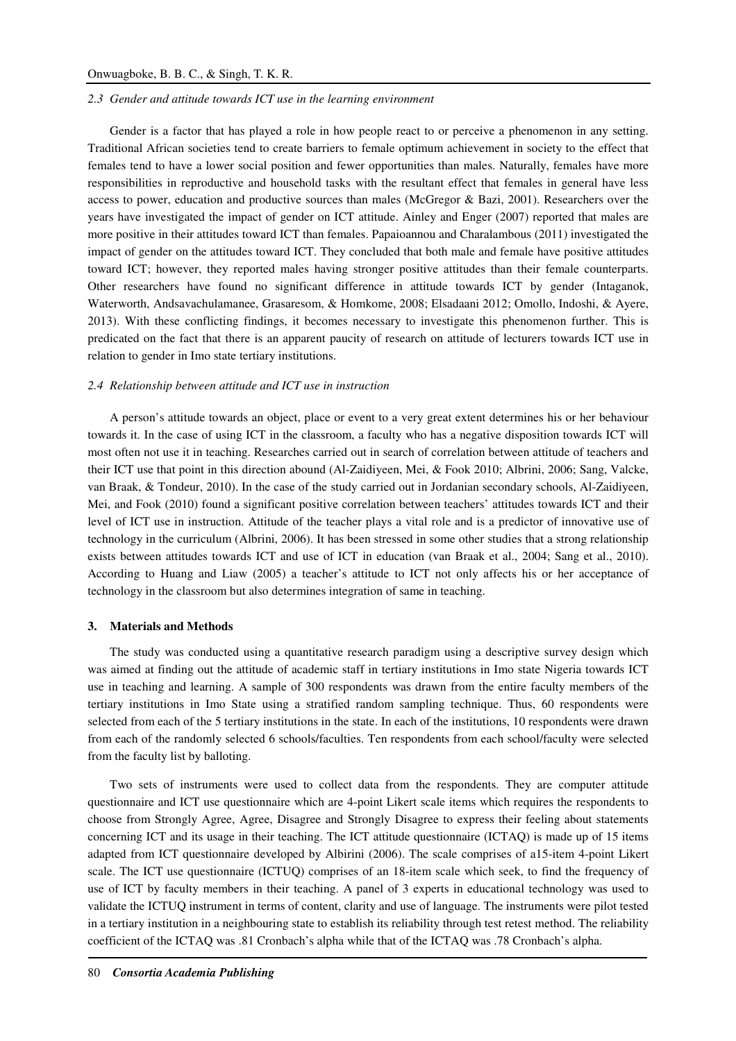#### *2.3 Gender and attitude towards ICT use in the learning environment*

Gender is a factor that has played a role in how people react to or perceive a phenomenon in any setting. Traditional African societies tend to create barriers to female optimum achievement in society to the effect that females tend to have a lower social position and fewer opportunities than males. Naturally, females have more responsibilities in reproductive and household tasks with the resultant effect that females in general have less access to power, education and productive sources than males (McGregor & Bazi, 2001). Researchers over the years have investigated the impact of gender on ICT attitude. Ainley and Enger (2007) reported that males are more positive in their attitudes toward ICT than females. Papaioannou and Charalambous (2011) investigated the impact of gender on the attitudes toward ICT. They concluded that both male and female have positive attitudes toward ICT; however, they reported males having stronger positive attitudes than their female counterparts. Other researchers have found no significant difference in attitude towards ICT by gender (Intaganok, Waterworth, Andsavachulamanee, Grasaresom, & Homkome, 2008; Elsadaani 2012; Omollo, Indoshi, & Ayere, 2013). With these conflicting findings, it becomes necessary to investigate this phenomenon further. This is predicated on the fact that there is an apparent paucity of research on attitude of lecturers towards ICT use in relation to gender in Imo state tertiary institutions.

#### *2.4 Relationship between attitude and ICT use in instruction*

A person's attitude towards an object, place or event to a very great extent determines his or her behaviour towards it. In the case of using ICT in the classroom, a faculty who has a negative disposition towards ICT will most often not use it in teaching. Researches carried out in search of correlation between attitude of teachers and their ICT use that point in this direction abound (Al-Zaidiyeen, Mei, & Fook 2010; Albrini, 2006; Sang, Valcke, van Braak, & Tondeur, 2010). In the case of the study carried out in Jordanian secondary schools, Al-Zaidiyeen, Mei, and Fook (2010) found a significant positive correlation between teachers' attitudes towards ICT and their level of ICT use in instruction. Attitude of the teacher plays a vital role and is a predictor of innovative use of technology in the curriculum (Albrini, 2006). It has been stressed in some other studies that a strong relationship exists between attitudes towards ICT and use of ICT in education (van Braak et al., 2004; Sang et al., 2010). According to Huang and Liaw (2005) a teacher's attitude to ICT not only affects his or her acceptance of technology in the classroom but also determines integration of same in teaching.

#### **3. Materials and Methods**

The study was conducted using a quantitative research paradigm using a descriptive survey design which was aimed at finding out the attitude of academic staff in tertiary institutions in Imo state Nigeria towards ICT use in teaching and learning. A sample of 300 respondents was drawn from the entire faculty members of the tertiary institutions in Imo State using a stratified random sampling technique. Thus, 60 respondents were selected from each of the 5 tertiary institutions in the state. In each of the institutions, 10 respondents were drawn from each of the randomly selected 6 schools/faculties. Ten respondents from each school/faculty were selected from the faculty list by balloting.

Two sets of instruments were used to collect data from the respondents. They are computer attitude questionnaire and ICT use questionnaire which are 4-point Likert scale items which requires the respondents to choose from Strongly Agree, Agree, Disagree and Strongly Disagree to express their feeling about statements concerning ICT and its usage in their teaching. The ICT attitude questionnaire (ICTAQ) is made up of 15 items adapted from ICT questionnaire developed by Albirini (2006). The scale comprises of a15-item 4-point Likert scale. The ICT use questionnaire (ICTUQ) comprises of an 18-item scale which seek, to find the frequency of use of ICT by faculty members in their teaching. A panel of 3 experts in educational technology was used to validate the ICTUQ instrument in terms of content, clarity and use of language. The instruments were pilot tested in a tertiary institution in a neighbouring state to establish its reliability through test retest method. The reliability coefficient of the ICTAQ was .81 Cronbach's alpha while that of the ICTAQ was .78 Cronbach's alpha.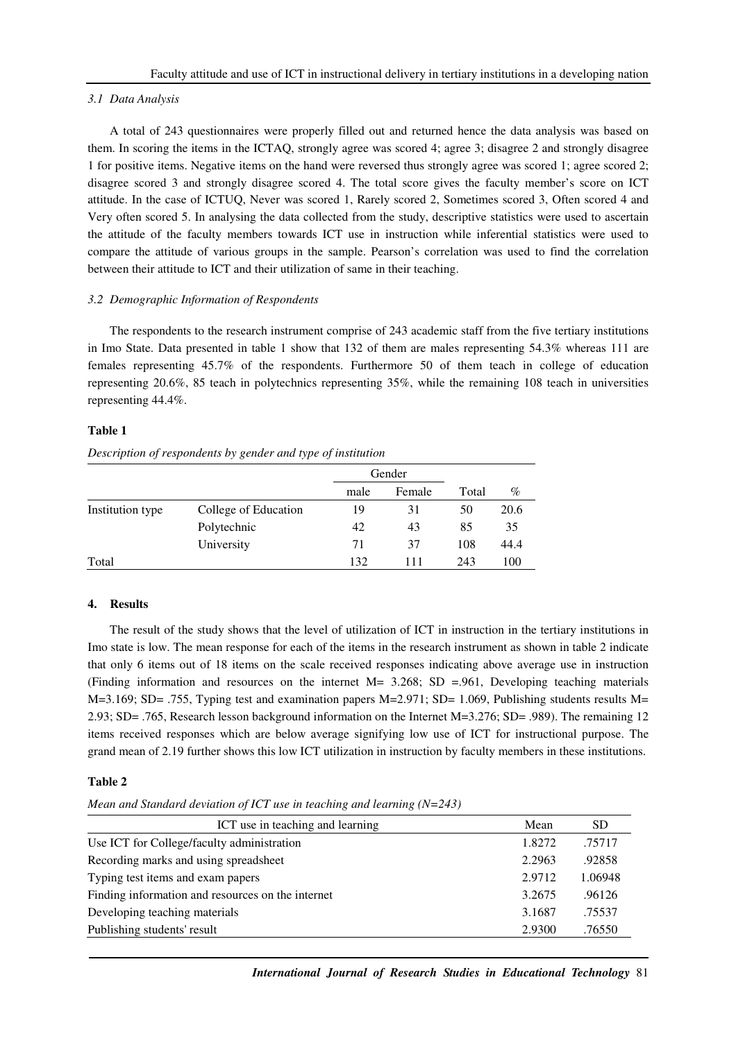## *3.1 Data Analysis*

A total of 243 questionnaires were properly filled out and returned hence the data analysis was based on them. In scoring the items in the ICTAQ, strongly agree was scored 4; agree 3; disagree 2 and strongly disagree 1 for positive items. Negative items on the hand were reversed thus strongly agree was scored 1; agree scored 2; disagree scored 3 and strongly disagree scored 4. The total score gives the faculty member's score on ICT attitude. In the case of ICTUQ, Never was scored 1, Rarely scored 2, Sometimes scored 3, Often scored 4 and Very often scored 5. In analysing the data collected from the study, descriptive statistics were used to ascertain the attitude of the faculty members towards ICT use in instruction while inferential statistics were used to compare the attitude of various groups in the sample. Pearson's correlation was used to find the correlation between their attitude to ICT and their utilization of same in their teaching.

# *3.2 Demographic Information of Respondents*

The respondents to the research instrument comprise of 243 academic staff from the five tertiary institutions in Imo State. Data presented in table 1 show that 132 of them are males representing 54.3% whereas 111 are females representing 45.7% of the respondents. Furthermore 50 of them teach in college of education representing 20.6%, 85 teach in polytechnics representing 35%, while the remaining 108 teach in universities representing 44.4%.

# **Table 1**

*Description of respondents by gender and type of institution* 

|                  |                      |      | Gender |       |      |
|------------------|----------------------|------|--------|-------|------|
|                  |                      | male | Female | Total | $\%$ |
| Institution type | College of Education | 19   | 31     | 50    | 20.6 |
|                  | Polytechnic          | 42   | 43     | 85    | 35   |
|                  | University           | 71   | 37     | 108   | 44.4 |
| Total            |                      | 132  | 111    | 243   | 100  |

# **4. Results**

The result of the study shows that the level of utilization of ICT in instruction in the tertiary institutions in Imo state is low. The mean response for each of the items in the research instrument as shown in table 2 indicate that only 6 items out of 18 items on the scale received responses indicating above average use in instruction (Finding information and resources on the internet M= 3.268; SD =.961, Developing teaching materials M=3.169; SD= .755, Typing test and examination papers M=2.971; SD= 1.069, Publishing students results M= 2.93; SD= .765, Research lesson background information on the Internet M=3.276; SD= .989). The remaining 12 items received responses which are below average signifying low use of ICT for instructional purpose. The grand mean of 2.19 further shows this low ICT utilization in instruction by faculty members in these institutions.

# **Table 2**

*Mean and Standard deviation of ICT use in teaching and learning (N=243)* 

| ICT use in teaching and learning                  | Mean   | <b>SD</b> |
|---------------------------------------------------|--------|-----------|
| Use ICT for College/faculty administration        | 1.8272 | .75717    |
| Recording marks and using spreadsheet             | 2.2963 | .92858    |
| Typing test items and exam papers                 | 2.9712 | 1.06948   |
| Finding information and resources on the internet | 3.2675 | .96126    |
| Developing teaching materials                     | 3.1687 | .75537    |
| Publishing students' result                       | 2.9300 | .76550    |

*International Journal of Research Studies in Educational Technology* 81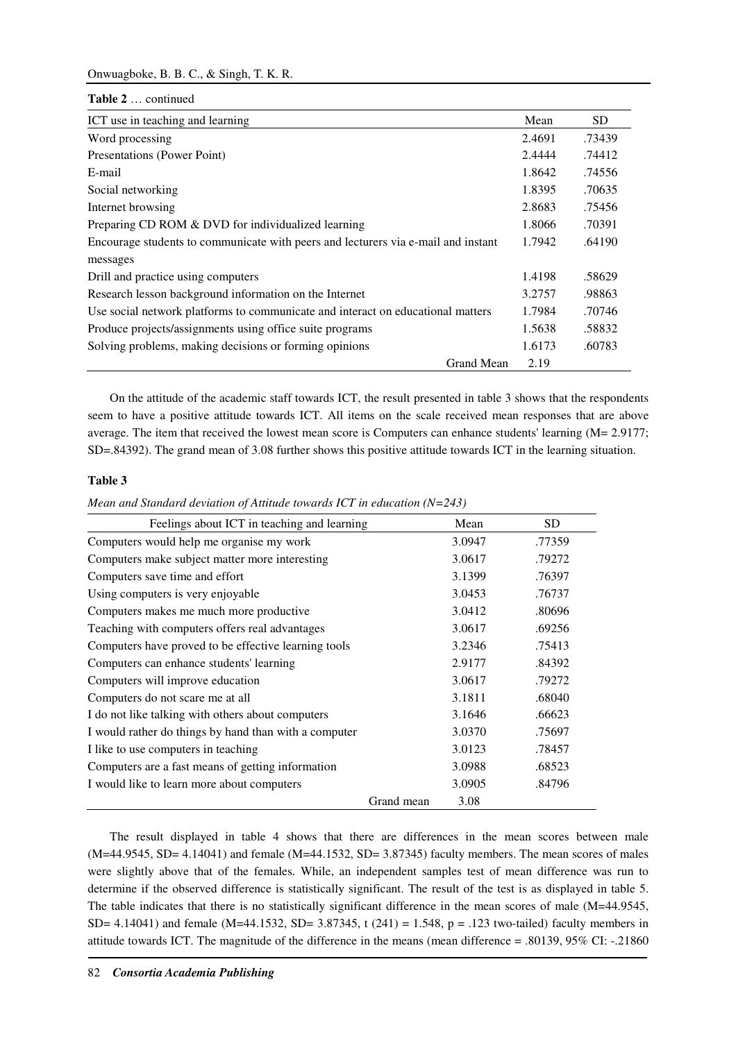# Onwuagboke, B. B. C., & Singh, T. K. R.

**Table 2** … continued

| ICT use in teaching and learning                                                  | Mean   | SD.    |
|-----------------------------------------------------------------------------------|--------|--------|
| Word processing                                                                   | 2.4691 | .73439 |
| Presentations (Power Point)                                                       | 2.4444 | .74412 |
| E-mail                                                                            | 1.8642 | .74556 |
| Social networking                                                                 | 1.8395 | .70635 |
| Internet browsing                                                                 | 2.8683 | .75456 |
| Preparing CD ROM & DVD for individualized learning                                | 1.8066 | .70391 |
| Encourage students to communicate with peers and lecturers via e-mail and instant | 1.7942 | .64190 |
| messages                                                                          |        |        |
| Drill and practice using computers                                                | 1.4198 | .58629 |
| Research lesson background information on the Internet                            | 3.2757 | .98863 |
| Use social network platforms to communicate and interact on educational matters   | 1.7984 | .70746 |
| Produce projects/assignments using office suite programs                          | 1.5638 | .58832 |
| Solving problems, making decisions or forming opinions                            | 1.6173 | .60783 |
| Grand Mean                                                                        | 2.19   |        |

On the attitude of the academic staff towards ICT, the result presented in table 3 shows that the respondents seem to have a positive attitude towards ICT. All items on the scale received mean responses that are above average. The item that received the lowest mean score is Computers can enhance students' learning (M= 2.9177; SD=.84392). The grand mean of 3.08 further shows this positive attitude towards ICT in the learning situation.

# **Table 3**

*Mean and Standard deviation of Attitude towards ICT in education (N=243)* 

| Feelings about ICT in teaching and learning           |            | Mean   | <b>SD</b> |
|-------------------------------------------------------|------------|--------|-----------|
| Computers would help me organise my work              |            | 3.0947 | .77359    |
| Computers make subject matter more interesting        |            | 3.0617 | .79272    |
| Computers save time and effort                        |            | 3.1399 | .76397    |
| Using computers is very enjoyable                     |            | 3.0453 | .76737    |
| Computers makes me much more productive               |            | 3.0412 | .80696    |
| Teaching with computers offers real advantages        |            | 3.0617 | .69256    |
| Computers have proved to be effective learning tools  |            | 3.2346 | .75413    |
| Computers can enhance students' learning              |            | 2.9177 | .84392    |
| Computers will improve education                      |            | 3.0617 | .79272    |
| Computers do not scare me at all                      |            | 3.1811 | .68040    |
| I do not like talking with others about computers     |            | 3.1646 | .66623    |
| I would rather do things by hand than with a computer |            | 3.0370 | .75697    |
| I like to use computers in teaching                   |            | 3.0123 | .78457    |
| Computers are a fast means of getting information     |            | 3.0988 | .68523    |
| I would like to learn more about computers            |            | 3.0905 | .84796    |
|                                                       | Grand mean | 3.08   |           |

The result displayed in table 4 shows that there are differences in the mean scores between male (M=44.9545, SD= 4.14041) and female (M=44.1532, SD= 3.87345) faculty members. The mean scores of males were slightly above that of the females. While, an independent samples test of mean difference was run to determine if the observed difference is statistically significant. The result of the test is as displayed in table 5. The table indicates that there is no statistically significant difference in the mean scores of male (M=44.9545, SD= 4.14041) and female (M=44.1532, SD= 3.87345, t (241) = 1.548, p = .123 two-tailed) faculty members in attitude towards ICT. The magnitude of the difference in the means (mean difference = .80139, 95% CI: -.21860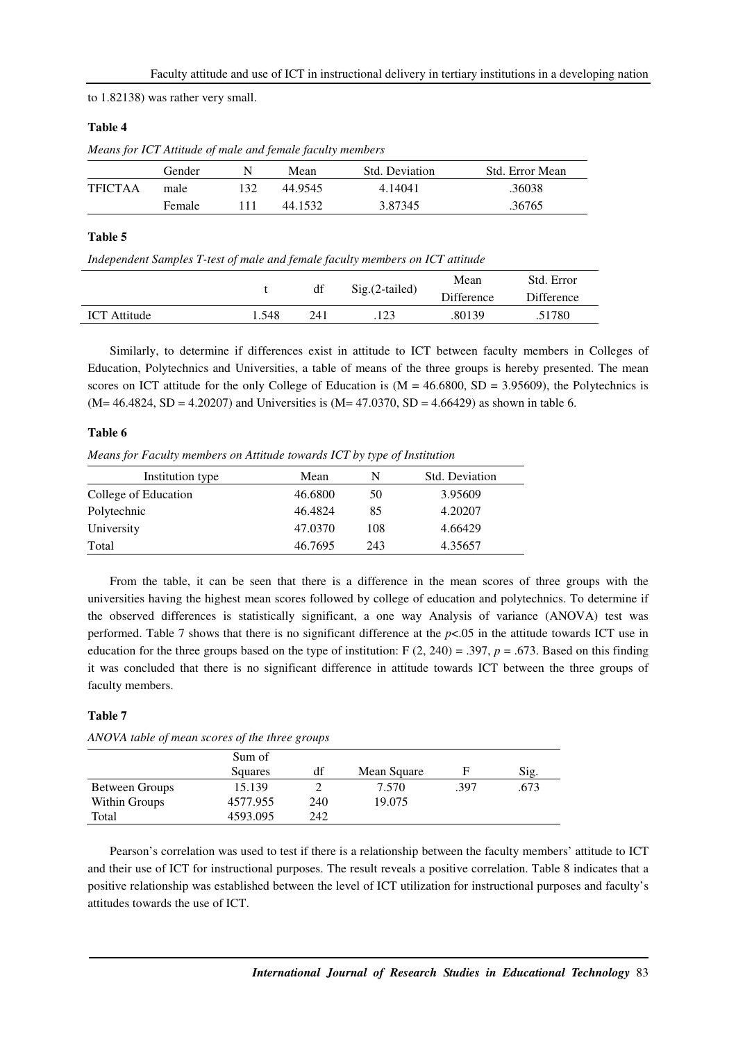to 1.82138) was rather very small.

# **Table 4**

*Means for ICT Attitude of male and female faculty members* 

|                | Gender | N | Mean    | Std. Deviation | Std. Error Mean |
|----------------|--------|---|---------|----------------|-----------------|
| <b>TFICTAA</b> | male   |   | 44.9545 | 4.14041        | .36038          |
|                | Female |   | 44.1532 | 3.87345        | .36765          |

# **Table 5**

*Independent Samples T-test of male and female faculty members on ICT attitude* 

|                     |       | df               |      | Mean              | Std. Error |
|---------------------|-------|------------------|------|-------------------|------------|
|                     |       | $Sig.(2-tailed)$ |      | <b>Difference</b> | Difference |
| <b>ICT</b> Attitude | l.548 | 241              | .123 | .80139            | .51780     |

Similarly, to determine if differences exist in attitude to ICT between faculty members in Colleges of Education, Polytechnics and Universities, a table of means of the three groups is hereby presented. The mean scores on ICT attitude for the only College of Education is  $(M = 46.6800, SD = 3.95609)$ , the Polytechnics is  $(M= 46.4824, SD = 4.20207)$  and Universities is  $(M= 47.0370, SD = 4.66429)$  as shown in table 6.

## **Table 6**

*Means for Faculty members on Attitude towards ICT by type of Institution* 

| Institution type     | Mean    | N   | Std. Deviation |
|----------------------|---------|-----|----------------|
| College of Education | 46.6800 | 50  | 3.95609        |
| Polytechnic          | 46.4824 | 85  | 4.20207        |
| University           | 47.0370 | 108 | 4.66429        |
| Total                | 46.7695 | 243 | 4.35657        |

From the table, it can be seen that there is a difference in the mean scores of three groups with the universities having the highest mean scores followed by college of education and polytechnics. To determine if the observed differences is statistically significant, a one way Analysis of variance (ANOVA) test was performed. Table 7 shows that there is no significant difference at the *p*<.05 in the attitude towards ICT use in education for the three groups based on the type of institution:  $F(2, 240) = .397$ ,  $p = .673$ . Based on this finding it was concluded that there is no significant difference in attitude towards ICT between the three groups of faculty members.

# **Table 7**

| .              |          |     |             |      |      |
|----------------|----------|-----|-------------|------|------|
|                | Sum of   |     |             |      |      |
|                | Squares  | df  | Mean Square | F    | Sig. |
| Between Groups | 15.139   |     | 7.570       | .397 | .673 |
| Within Groups  | 4577.955 | 240 | 19.075      |      |      |
| Total          | 4593.095 | 242 |             |      |      |

*ANOVA table of mean scores of the three groups* 

Pearson's correlation was used to test if there is a relationship between the faculty members' attitude to ICT and their use of ICT for instructional purposes. The result reveals a positive correlation. Table 8 indicates that a positive relationship was established between the level of ICT utilization for instructional purposes and faculty's attitudes towards the use of ICT.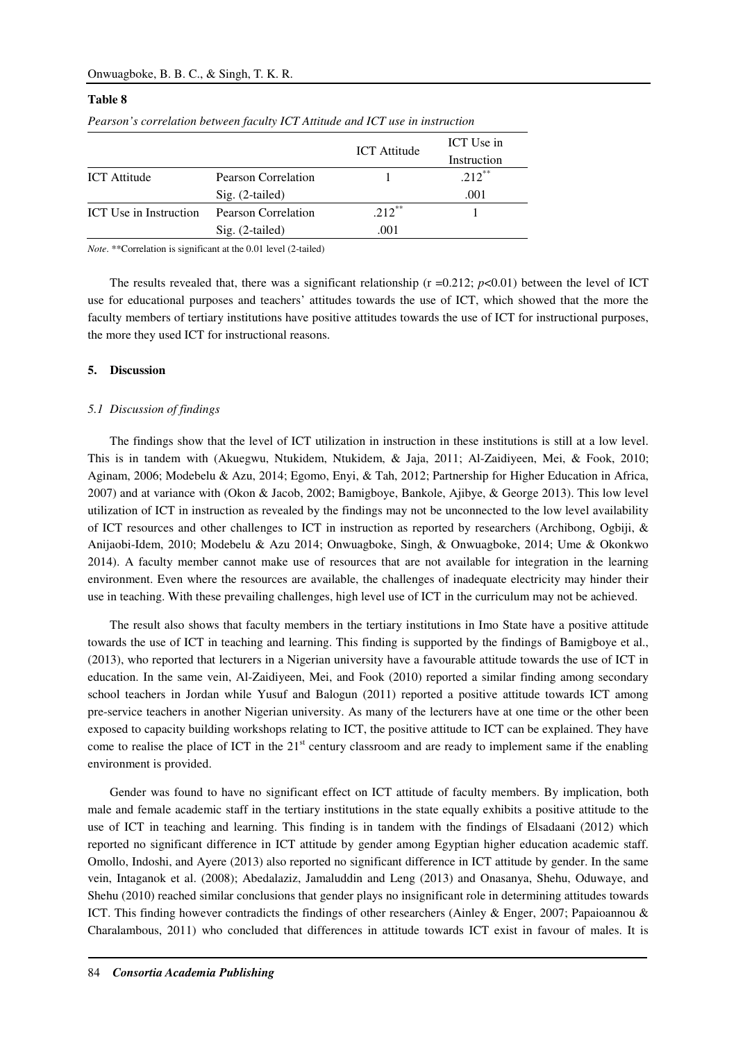# Onwuagboke, B. B. C., & Singh, T. K. R.

# **Table 8**

|                               |                     |                     | ICT Use in  |
|-------------------------------|---------------------|---------------------|-------------|
|                               |                     | <b>ICT</b> Attitude | Instruction |
| <b>ICT</b> Attitude           | Pearson Correlation |                     | $.212***$   |
|                               | $Sig. (2-tailed)$   |                     | .001        |
| <b>ICT</b> Use in Instruction | Pearson Correlation | $.212***$           |             |
|                               | $Sig. (2-tailed)$   | .001                |             |

*Pearson's correlation between faculty ICT Attitude and ICT use in instruction* 

*Note*. \*\*Correlation is significant at the 0.01 level (2-tailed)

The results revealed that, there was a significant relationship  $(r = 0.212; p < 0.01)$  between the level of ICT use for educational purposes and teachers' attitudes towards the use of ICT, which showed that the more the faculty members of tertiary institutions have positive attitudes towards the use of ICT for instructional purposes, the more they used ICT for instructional reasons.

# **5. Discussion**

#### *5.1 Discussion of findings*

The findings show that the level of ICT utilization in instruction in these institutions is still at a low level. This is in tandem with (Akuegwu, Ntukidem, Ntukidem, & Jaja, 2011; Al-Zaidiyeen, Mei, & Fook, 2010; Aginam, 2006; Modebelu & Azu, 2014; Egomo, Enyi, & Tah, 2012; Partnership for Higher Education in Africa, 2007) and at variance with (Okon & Jacob, 2002; Bamigboye, Bankole, Ajibye, & George 2013). This low level utilization of ICT in instruction as revealed by the findings may not be unconnected to the low level availability of ICT resources and other challenges to ICT in instruction as reported by researchers (Archibong, Ogbiji, & Anijaobi-Idem, 2010; Modebelu & Azu 2014; Onwuagboke, Singh, & Onwuagboke, 2014; Ume & Okonkwo 2014). A faculty member cannot make use of resources that are not available for integration in the learning environment. Even where the resources are available, the challenges of inadequate electricity may hinder their use in teaching. With these prevailing challenges, high level use of ICT in the curriculum may not be achieved.

The result also shows that faculty members in the tertiary institutions in Imo State have a positive attitude towards the use of ICT in teaching and learning. This finding is supported by the findings of Bamigboye et al., (2013), who reported that lecturers in a Nigerian university have a favourable attitude towards the use of ICT in education. In the same vein, Al-Zaidiyeen, Mei, and Fook (2010) reported a similar finding among secondary school teachers in Jordan while Yusuf and Balogun (2011) reported a positive attitude towards ICT among pre-service teachers in another Nigerian university. As many of the lecturers have at one time or the other been exposed to capacity building workshops relating to ICT, the positive attitude to ICT can be explained. They have come to realise the place of ICT in the  $21<sup>st</sup>$  century classroom and are ready to implement same if the enabling environment is provided.

Gender was found to have no significant effect on ICT attitude of faculty members. By implication, both male and female academic staff in the tertiary institutions in the state equally exhibits a positive attitude to the use of ICT in teaching and learning. This finding is in tandem with the findings of Elsadaani (2012) which reported no significant difference in ICT attitude by gender among Egyptian higher education academic staff. Omollo, Indoshi, and Ayere (2013) also reported no significant difference in ICT attitude by gender. In the same vein, Intaganok et al. (2008); Abedalaziz, Jamaluddin and Leng (2013) and Onasanya, Shehu, Oduwaye, and Shehu (2010) reached similar conclusions that gender plays no insignificant role in determining attitudes towards ICT. This finding however contradicts the findings of other researchers (Ainley & Enger, 2007; Papaioannou & Charalambous, 2011) who concluded that differences in attitude towards ICT exist in favour of males. It is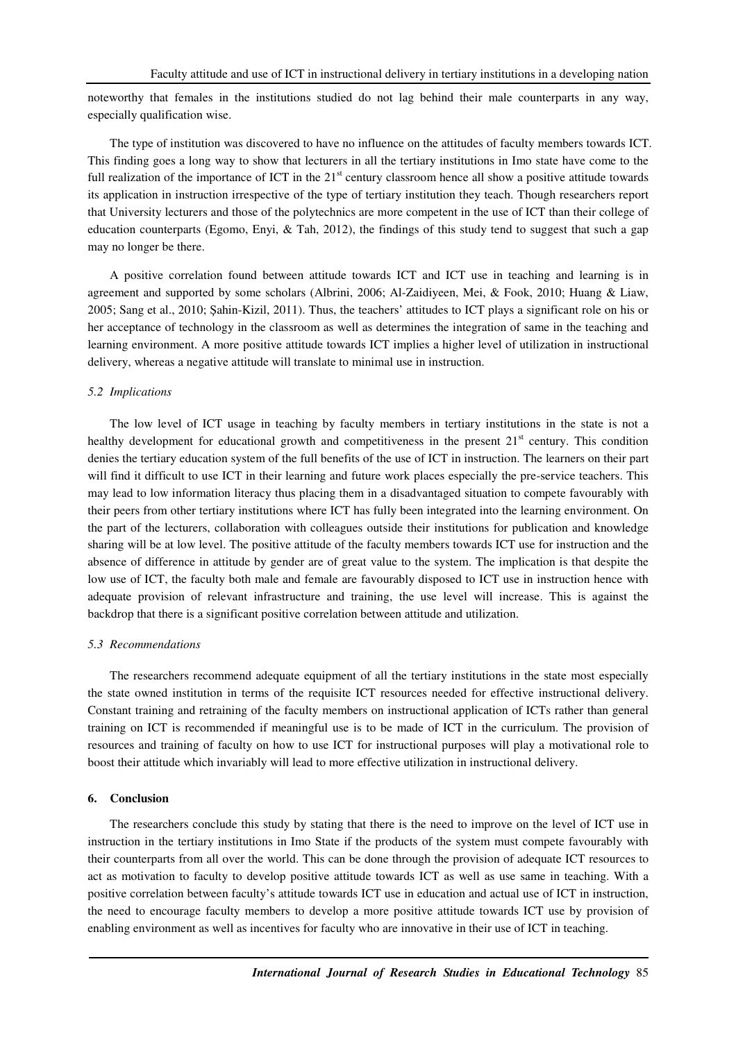noteworthy that females in the institutions studied do not lag behind their male counterparts in any way, especially qualification wise.

The type of institution was discovered to have no influence on the attitudes of faculty members towards ICT. This finding goes a long way to show that lecturers in all the tertiary institutions in Imo state have come to the full realization of the importance of ICT in the  $21<sup>st</sup>$  century classroom hence all show a positive attitude towards its application in instruction irrespective of the type of tertiary institution they teach. Though researchers report that University lecturers and those of the polytechnics are more competent in the use of ICT than their college of education counterparts (Egomo, Enyi, & Tah, 2012), the findings of this study tend to suggest that such a gap may no longer be there.

A positive correlation found between attitude towards ICT and ICT use in teaching and learning is in agreement and supported by some scholars (Albrini, 2006; Al-Zaidiyeen, Mei, & Fook, 2010; Huang & Liaw, 2005; Sang et al., 2010; Şahin-Kizil, 2011). Thus, the teachers' attitudes to ICT plays a significant role on his or her acceptance of technology in the classroom as well as determines the integration of same in the teaching and learning environment. A more positive attitude towards ICT implies a higher level of utilization in instructional delivery, whereas a negative attitude will translate to minimal use in instruction.

### *5.2 Implications*

The low level of ICT usage in teaching by faculty members in tertiary institutions in the state is not a healthy development for educational growth and competitiveness in the present  $21<sup>st</sup>$  century. This condition denies the tertiary education system of the full benefits of the use of ICT in instruction. The learners on their part will find it difficult to use ICT in their learning and future work places especially the pre-service teachers. This may lead to low information literacy thus placing them in a disadvantaged situation to compete favourably with their peers from other tertiary institutions where ICT has fully been integrated into the learning environment. On the part of the lecturers, collaboration with colleagues outside their institutions for publication and knowledge sharing will be at low level. The positive attitude of the faculty members towards ICT use for instruction and the absence of difference in attitude by gender are of great value to the system. The implication is that despite the low use of ICT, the faculty both male and female are favourably disposed to ICT use in instruction hence with adequate provision of relevant infrastructure and training, the use level will increase. This is against the backdrop that there is a significant positive correlation between attitude and utilization.

### *5.3 Recommendations*

The researchers recommend adequate equipment of all the tertiary institutions in the state most especially the state owned institution in terms of the requisite ICT resources needed for effective instructional delivery. Constant training and retraining of the faculty members on instructional application of ICTs rather than general training on ICT is recommended if meaningful use is to be made of ICT in the curriculum. The provision of resources and training of faculty on how to use ICT for instructional purposes will play a motivational role to boost their attitude which invariably will lead to more effective utilization in instructional delivery.

## **6. Conclusion**

The researchers conclude this study by stating that there is the need to improve on the level of ICT use in instruction in the tertiary institutions in Imo State if the products of the system must compete favourably with their counterparts from all over the world. This can be done through the provision of adequate ICT resources to act as motivation to faculty to develop positive attitude towards ICT as well as use same in teaching. With a positive correlation between faculty's attitude towards ICT use in education and actual use of ICT in instruction, the need to encourage faculty members to develop a more positive attitude towards ICT use by provision of enabling environment as well as incentives for faculty who are innovative in their use of ICT in teaching.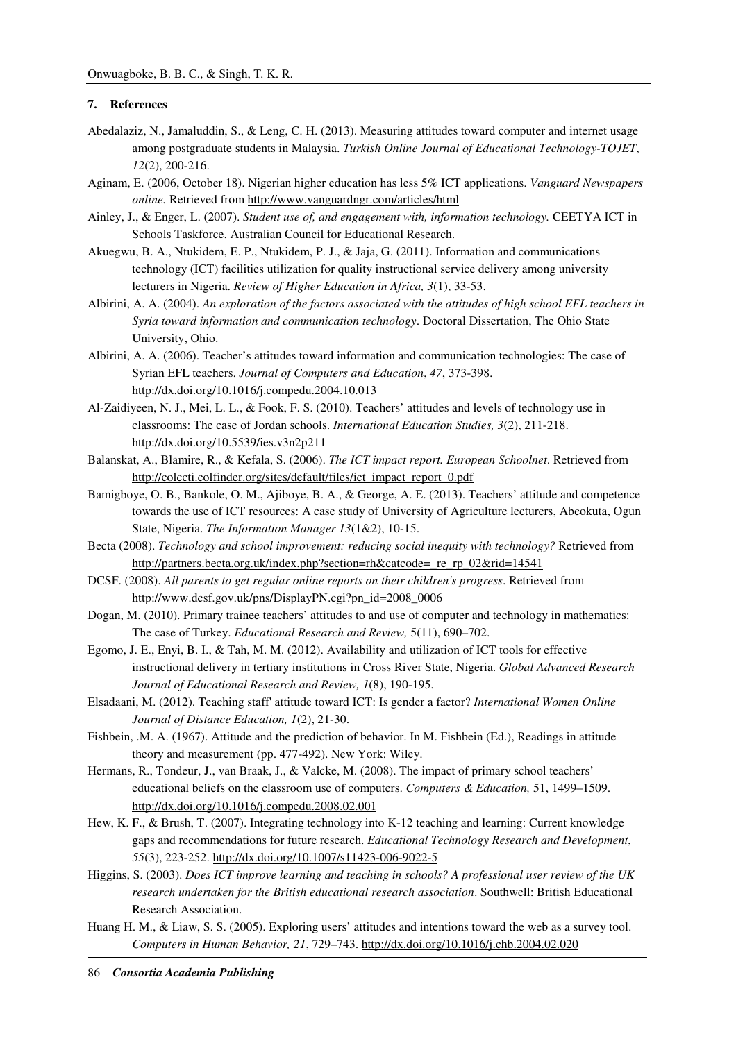# **7. References**

- Abedalaziz, N., Jamaluddin, S., & Leng, C. H. (2013). Measuring attitudes toward computer and internet usage among postgraduate students in Malaysia. *Turkish Online Journal of Educational Technology-TOJET*, *12*(2), 200-216.
- Aginam, E. (2006, October 18). Nigerian higher education has less 5% ICT applications. *Vanguard Newspapers online.* Retrieved from http://www.vanguardngr.com/articles/html
- Ainley, J., & Enger, L. (2007). *Student use of, and engagement with, information technology.* CEETYA ICT in Schools Taskforce. Australian Council for Educational Research.
- Akuegwu, B. A., Ntukidem, E. P., Ntukidem, P. J., & Jaja, G. (2011). Information and communications technology (ICT) facilities utilization for quality instructional service delivery among university lecturers in Nigeria. *Review of Higher Education in Africa, 3*(1), 33-53.
- Albirini, A. A. (2004). *An exploration of the factors associated with the attitudes of high school EFL teachers in Syria toward information and communication technology*. Doctoral Dissertation, The Ohio State University, Ohio.
- Albirini, A. A. (2006). Teacher's attitudes toward information and communication technologies: The case of Syrian EFL teachers. *Journal of Computers and Education*, *47*, 373-398. http://dx.doi.org/10.1016/j.compedu.2004.10.013
- Al-Zaidiyeen, N. J., Mei, L. L., & Fook, F. S. (2010). Teachers' attitudes and levels of technology use in classrooms: The case of Jordan schools. *International Education Studies, 3*(2), 211-218. http://dx.doi.org/10.5539/ies.v3n2p211
- Balanskat, A., Blamire, R., & Kefala, S. (2006). *The ICT impact report. European Schoolnet*. Retrieved from http://colccti.colfinder.org/sites/default/files/ict\_impact\_report\_0.pdf
- Bamigboye, O. B., Bankole, O. M., Ajiboye, B. A., & George, A. E. (2013). Teachers' attitude and competence towards the use of ICT resources: A case study of University of Agriculture lecturers, Abeokuta, Ogun State, Nigeria. *The Information Manager 13*(1&2), 10-15.
- Becta (2008). *Technology and school improvement: reducing social inequity with technology?* Retrieved from http://partners.becta.org.uk/index.php?section=rh&catcode=\_re\_rp\_02&rid=14541
- DCSF. (2008). *All parents to get regular online reports on their children's progress*. Retrieved from http://www.dcsf.gov.uk/pns/DisplayPN.cgi?pn\_id=2008\_0006
- Dogan, M. (2010). Primary trainee teachers' attitudes to and use of computer and technology in mathematics: The case of Turkey. *Educational Research and Review,* 5(11), 690–702.
- Egomo, J. E., Enyi, B. I., & Tah, M. M. (2012). Availability and utilization of ICT tools for effective instructional delivery in tertiary institutions in Cross River State, Nigeria. *Global Advanced Research Journal of Educational Research and Review, 1*(8), 190-195.
- Elsadaani, M. (2012). Teaching staff' attitude toward ICT: Is gender a factor? *International Women Online Journal of Distance Education, 1*(2), 21-30.
- Fishbein, .M. A. (1967). Attitude and the prediction of behavior. In M. Fishbein (Ed.), Readings in attitude theory and measurement (pp. 477-492). New York: Wiley.
- Hermans, R., Tondeur, J., van Braak, J., & Valcke, M. (2008). The impact of primary school teachers' educational beliefs on the classroom use of computers. *Computers & Education,* 51, 1499–1509. http://dx.doi.org/10.1016/j.compedu.2008.02.001
- Hew, K. F., & Brush, T. (2007). Integrating technology into K-12 teaching and learning: Current knowledge gaps and recommendations for future research. *Educational Technology Research and Development*, *55*(3), 223-252. http://dx.doi.org/10.1007/s11423-006-9022-5
- Higgins, S. (2003). *Does ICT improve learning and teaching in schools? A professional user review of the UK research undertaken for the British educational research association*. Southwell: British Educational Research Association.
- Huang H. M., & Liaw, S. S. (2005). Exploring users' attitudes and intentions toward the web as a survey tool. *Computers in Human Behavior, 21*, 729–743. http://dx.doi.org/10.1016/j.chb.2004.02.020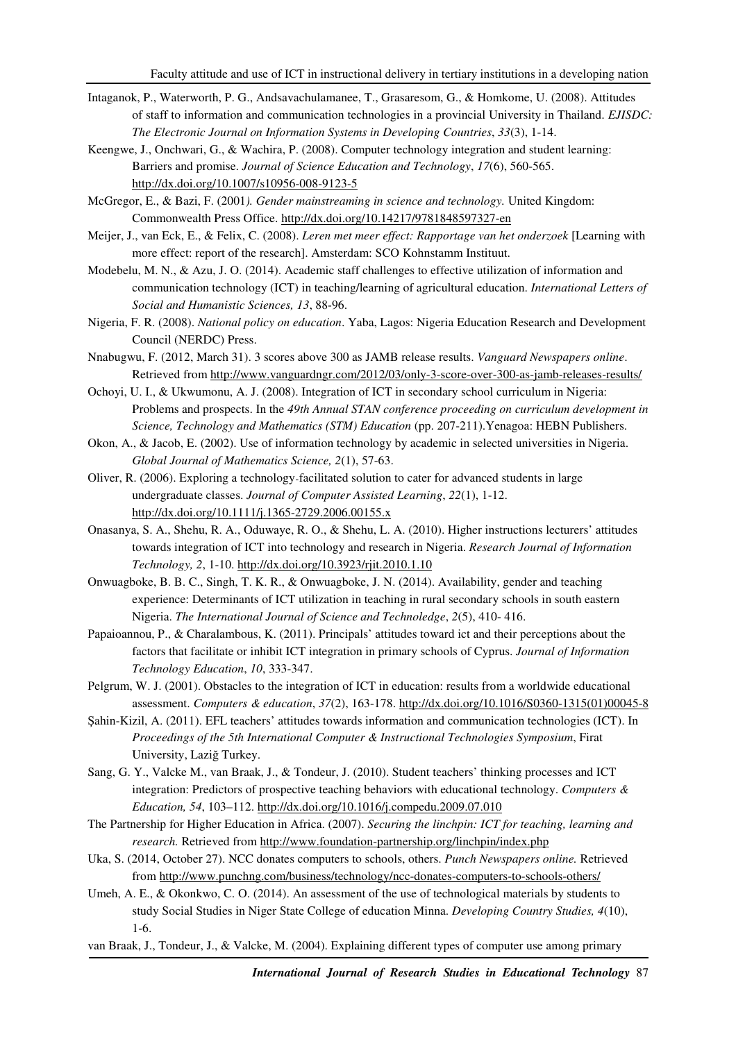- Intaganok, P., Waterworth, P. G., Andsavachulamanee, T., Grasaresom, G., & Homkome, U. (2008). Attitudes of staff to information and communication technologies in a provincial University in Thailand. *EJISDC: The Electronic Journal on Information Systems in Developing Countries*, *33*(3), 1-14.
- Keengwe, J., Onchwari, G., & Wachira, P. (2008). Computer technology integration and student learning: Barriers and promise. *Journal of Science Education and Technology*, *17*(6), 560-565. http://dx.doi.org/10.1007/s10956-008-9123-5
- McGregor, E., & Bazi, F. (2001*). Gender mainstreaming in science and technology.* United Kingdom: Commonwealth Press Office. http://dx.doi.org/10.14217/9781848597327-en
- Meijer, J., van Eck, E., & Felix, C. (2008). *Leren met meer effect: Rapportage van het onderzoek* [Learning with more effect: report of the research]. Amsterdam: SCO Kohnstamm Instituut.
- Modebelu, M. N., & Azu, J. O. (2014). Academic staff challenges to effective utilization of information and communication technology (ICT) in teaching/learning of agricultural education. *International Letters of Social and Humanistic Sciences, 13*, 88-96.
- Nigeria, F. R. (2008). *National policy on education*. Yaba, Lagos: Nigeria Education Research and Development Council (NERDC) Press.
- Nnabugwu, F. (2012, March 31). 3 scores above 300 as JAMB release results. *Vanguard Newspapers online*. Retrieved from http://www.vanguardngr.com/2012/03/only-3-score-over-300-as-jamb-releases-results/
- Ochoyi, U. I., & Ukwumonu, A. J. (2008). Integration of ICT in secondary school curriculum in Nigeria: Problems and prospects. In the *49th Annual STAN conference proceeding on curriculum development in Science, Technology and Mathematics (STM) Education* (pp. 207-211).Yenagoa: HEBN Publishers.
- Okon, A., & Jacob, E. (2002). Use of information technology by academic in selected universities in Nigeria. *Global Journal of Mathematics Science, 2*(1), 57-63.
- Oliver, R. (2006). Exploring a technology‐facilitated solution to cater for advanced students in large undergraduate classes. *Journal of Computer Assisted Learning*, *22*(1), 1-12. http://dx.doi.org/10.1111/j.1365-2729.2006.00155.x
- Onasanya, S. A., Shehu, R. A., Oduwaye, R. O., & Shehu, L. A. (2010). Higher instructions lecturers' attitudes towards integration of ICT into technology and research in Nigeria. *Research Journal of Information Technology, 2*, 1-10. http://dx.doi.org/10.3923/rjit.2010.1.10
- Onwuagboke, B. B. C., Singh, T. K. R., & Onwuagboke, J. N. (2014). Availability, gender and teaching experience: Determinants of ICT utilization in teaching in rural secondary schools in south eastern Nigeria. *The International Journal of Science and Technoledge*, *2*(5), 410- 416.
- Papaioannou, P., & Charalambous, K. (2011). Principals' attitudes toward ict and their perceptions about the factors that facilitate or inhibit ICT integration in primary schools of Cyprus. *Journal of Information Technology Education*, *10*, 333-347.
- Pelgrum, W. J. (2001). Obstacles to the integration of ICT in education: results from a worldwide educational assessment. *Computers & education*, *37*(2), 163-178. http://dx.doi.org/10.1016/S0360-1315(01)00045-8
- Şahin-Kizil, A. (2011). EFL teachers' attitudes towards information and communication technologies (ICT). In *Proceedings of the 5th International Computer & Instructional Technologies Symposium*, Firat University, Laziğ Turkey.
- Sang, G. Y., Valcke M., van Braak, J., & Tondeur, J. (2010). Student teachers' thinking processes and ICT integration: Predictors of prospective teaching behaviors with educational technology. *Computers & Education, 54*, 103–112. http://dx.doi.org/10.1016/j.compedu.2009.07.010
- The Partnership for Higher Education in Africa. (2007). *Securing the linchpin: ICT for teaching, learning and research.* Retrieved from http://www.foundation-partnership.org/linchpin/index.php
- Uka, S. (2014, October 27). NCC donates computers to schools, others. *Punch Newspapers online.* Retrieved from http://www.punchng.com/business/technology/ncc-donates-computers-to-schools-others/
- Umeh, A. E., & Okonkwo, C. O. (2014). An assessment of the use of technological materials by students to study Social Studies in Niger State College of education Minna. *Developing Country Studies, 4*(10), 1-6.
- van Braak, J., Tondeur, J., & Valcke, M. (2004). Explaining different types of computer use among primary